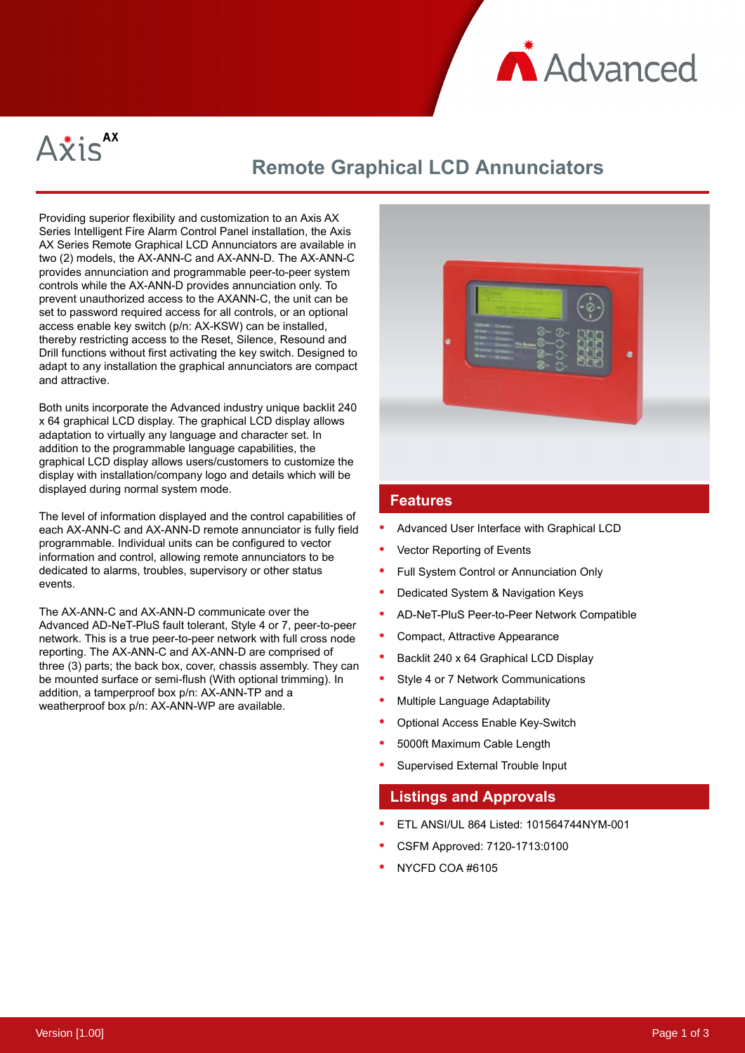



# **Remote Graphical LCD Annunciators**

Providing superior flexibility and customization to an Axis AX Series Intelligent Fire Alarm Control Panel installation, the Axis AX Series Remote Graphical LCD Annunciators are available in two (2) models, the AX-ANN-C and AX-ANN-D. The AX-ANN-C provides annunciation and programmable peer-to-peer system controls while the AX-ANN-D provides annunciation only. To prevent unauthorized access to the AXANN-C, the unit can be set to password required access for all controls, or an optional access enable key switch (p/n: AX-KSW) can be installed, thereby restricting access to the Reset, Silence, Resound and Drill functions without first activating the key switch. Designed to adapt to any installation the graphical annunciators are compact and attractive.

Both units incorporate the Advanced industry unique backlit 240 x 64 graphical LCD display. The graphical LCD display allows adaptation to virtually any language and character set. In addition to the programmable language capabilities, the graphical LCD display allows users/customers to customize the display with installation/company logo and details which will be displayed during normal system mode.

The level of information displayed and the control capabilities of each AX-ANN-C and AX-ANN-D remote annunciator is fully field programmable. Individual units can be configured to vector information and control, allowing remote annunciators to be dedicated to alarms, troubles, supervisory or other status events.

The AX-ANN-C and AX-ANN-D communicate over the Advanced AD-NeT-PluS fault tolerant, Style 4 or 7, peer-to-peer network. This is a true peer-to-peer network with full cross node reporting. The AX-ANN-C and AX-ANN-D are comprised of three (3) parts; the back box, cover, chassis assembly. They can be mounted surface or semi-flush (With optional trimming). In addition, a tamperproof box p/n: AX-ANN-TP and a weatherproof box p/n: AX-ANN-WP are available.



### **Features**

- Advanced User Interface with Graphical LCD
- Vector Reporting of Events
- Full System Control or Annunciation Only
- Dedicated System & Navigation Keys
- AD-NeT-PluS Peer-to-Peer Network Compatible
- Compact, Attractive Appearance
- Backlit 240 x 64 Graphical LCD Display
- Style 4 or 7 Network Communications
- Multiple Language Adaptability
- Optional Access Enable Key-Switch
- 5000ft Maximum Cable Length
- Supervised External Trouble Input

#### **Listings and Approvals**

- ETL ANSI/UL 864 Listed: 101564744NYM-001
- CSFM Approved: 7120-1713:0100
- NYCFD COA #6105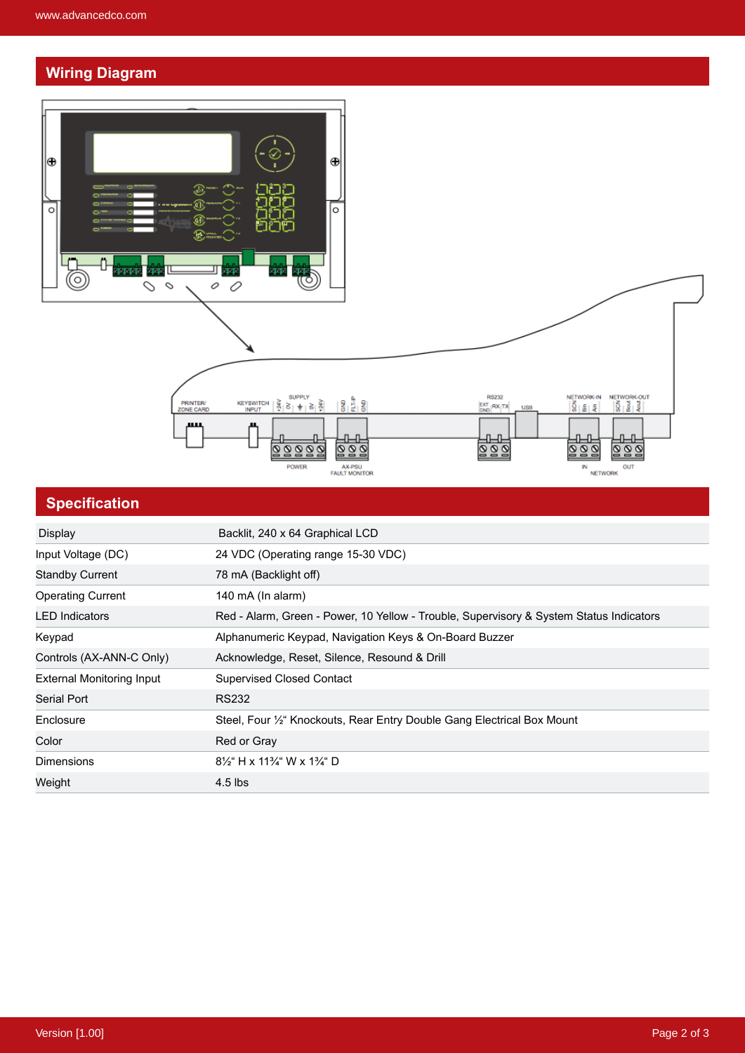## **Wiring Diagram**



### **Specification**

| Backlit, 240 x 64 Graphical LCD                                                         |
|-----------------------------------------------------------------------------------------|
| 24 VDC (Operating range 15-30 VDC)                                                      |
| 78 mA (Backlight off)                                                                   |
| 140 mA (In alarm)                                                                       |
| Red - Alarm, Green - Power, 10 Yellow - Trouble, Supervisory & System Status Indicators |
| Alphanumeric Keypad, Navigation Keys & On-Board Buzzer                                  |
| Acknowledge, Reset, Silence, Resound & Drill                                            |
| <b>Supervised Closed Contact</b>                                                        |
| <b>RS232</b>                                                                            |
| Steel, Four <sup>1/2"</sup> Knockouts, Rear Entry Double Gang Electrical Box Mount      |
| Red or Gray                                                                             |
| $8\frac{1}{2}$ H x 11 <sup>3</sup> / <sub>4</sub> W x 1 <sup>3</sup> / <sub>4</sub> D   |
| $4.5$ lbs                                                                               |
|                                                                                         |